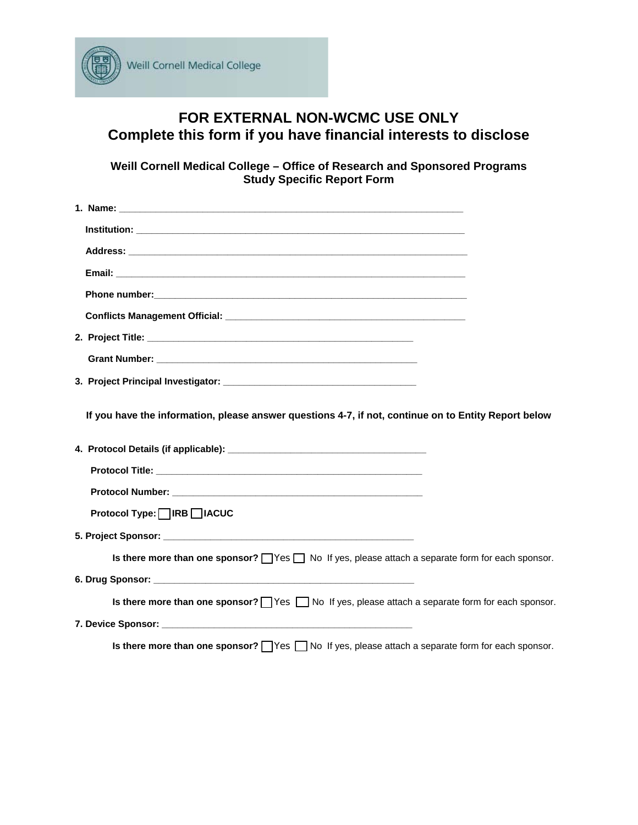

## **FOR EXTERNAL NON-WCMC USE ONLY Complete this form if you have financial interests to disclose**

**Weill Cornell Medical College – Office of Research and Sponsored Programs Study Specific Report Form** 

| 2. Project Title: <b>All and Service Control</b> to the control of the control of the control of the control of the control of the control of the control of the control of the control of the control of the control of the contro |  |
|-------------------------------------------------------------------------------------------------------------------------------------------------------------------------------------------------------------------------------------|--|
|                                                                                                                                                                                                                                     |  |
|                                                                                                                                                                                                                                     |  |
|                                                                                                                                                                                                                                     |  |
| If you have the information, please answer questions 4-7, if not, continue on to Entity Report below                                                                                                                                |  |
|                                                                                                                                                                                                                                     |  |
|                                                                                                                                                                                                                                     |  |
|                                                                                                                                                                                                                                     |  |
| Protocol Type:   IRB   IACUC                                                                                                                                                                                                        |  |
|                                                                                                                                                                                                                                     |  |
| Is there more than one sponsor? $\Box$ Yes $\Box$ No If yes, please attach a separate form for each sponsor.                                                                                                                        |  |
|                                                                                                                                                                                                                                     |  |
| Is there more than one sponsor? $\Box$ Yes $\Box$ No If yes, please attach a separate form for each sponsor.                                                                                                                        |  |
|                                                                                                                                                                                                                                     |  |

**Is there more than one sponsor?** Yes  $\Box$  No If yes, please attach a separate form for each sponsor.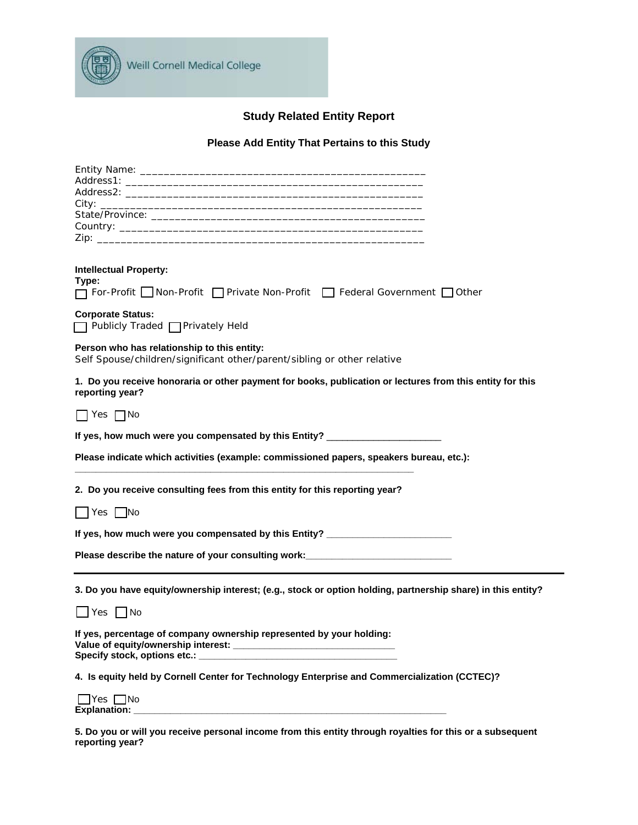

## **Study Related Entity Report**

## **Please Add Entity That Pertains to this Study**

| <b>Intellectual Property:</b><br>Type:<br>□ For-Profit Non-Profit □ Private Non-Profit □ Federal Government □ Other          |  |  |  |  |
|------------------------------------------------------------------------------------------------------------------------------|--|--|--|--|
| <b>Corporate Status:</b><br>□ Publicly Traded □ Privately Held                                                               |  |  |  |  |
| Person who has relationship to this entity:<br>Self Spouse/children/significant other/parent/sibling or other relative       |  |  |  |  |
| 1. Do you receive honoraria or other payment for books, publication or lectures from this entity for this<br>reporting year? |  |  |  |  |
| $\Box$ Yes $\Box$ No                                                                                                         |  |  |  |  |
| If yes, how much were you compensated by this Entity? __________________________                                             |  |  |  |  |
| Please indicate which activities (example: commissioned papers, speakers bureau, etc.):                                      |  |  |  |  |
| 2. Do you receive consulting fees from this entity for this reporting year?                                                  |  |  |  |  |
| $\blacksquare$ Yes $\blacksquare$ No                                                                                         |  |  |  |  |
| If yes, how much were you compensated by this Entity? __________________________                                             |  |  |  |  |
| Please describe the nature of your consulting work: ____________________________                                             |  |  |  |  |
| 3. Do you have equity/ownership interest; (e.g., stock or option holding, partnership share) in this entity?                 |  |  |  |  |
| $\Box$ Yes $\Box$ No                                                                                                         |  |  |  |  |
| If yes, percentage of company ownership represented by your holding:                                                         |  |  |  |  |
| 4. Is equity held by Cornell Center for Technology Enterprise and Commercialization (CCTEC)?                                 |  |  |  |  |
| $\Box$ Yes $\Box$ No                                                                                                         |  |  |  |  |

**5. Do you or will you receive personal income from this entity through royalties for this or a subsequent reporting year?**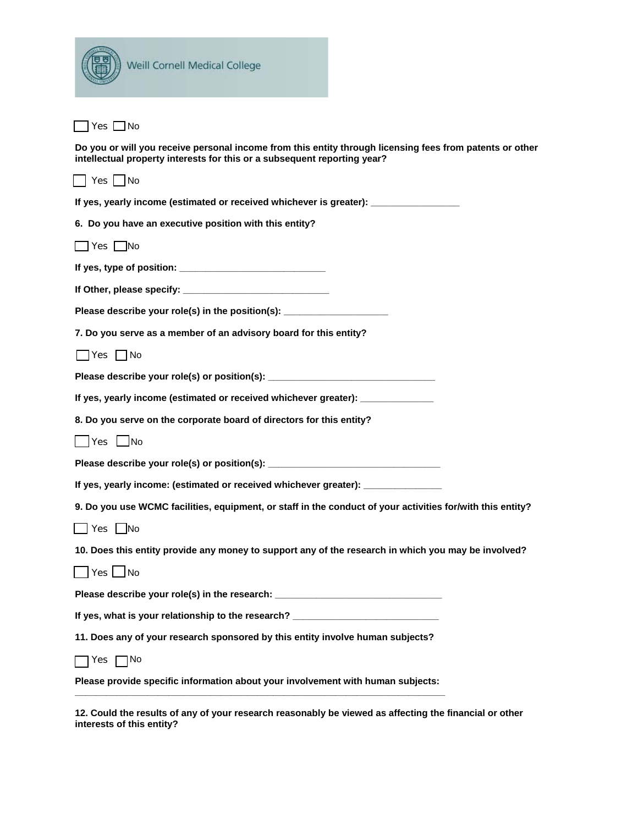| Weill Cornell Medical College                                                                                                                                                        |
|--------------------------------------------------------------------------------------------------------------------------------------------------------------------------------------|
| $\bigcap$ Yes $\bigcap$ No                                                                                                                                                           |
| Do you or will you receive personal income from this entity through licensing fees from patents or other<br>intellectual property interests for this or a subsequent reporting year? |
| $\Box$ Yes $\Box$ No                                                                                                                                                                 |
| If yes, yearly income (estimated or received whichever is greater): _____________                                                                                                    |
| 6. Do you have an executive position with this entity?                                                                                                                               |
| $\Box$ Yes $\Box$ No                                                                                                                                                                 |
|                                                                                                                                                                                      |
|                                                                                                                                                                                      |
| Please describe your role(s) in the position(s): _______________________________                                                                                                     |
| 7. Do you serve as a member of an advisory board for this entity?                                                                                                                    |
| <b>No</b> P∨es No                                                                                                                                                                    |
| Please describe your role(s) or position(s): ___________________________________                                                                                                     |
| If yes, yearly income (estimated or received whichever greater): ______________                                                                                                      |
| 8. Do you serve on the corporate board of directors for this entity?                                                                                                                 |
| Yes ∆No                                                                                                                                                                              |
| Please describe your role(s) or position(s): ___________________________________                                                                                                     |
| If yes, yearly income: (estimated or received whichever greater): ______________                                                                                                     |
| 9. Do you use WCMC facilities, equipment, or staff in the conduct of your activities for/with this entity?                                                                           |
| $\Box$ Yes $\Box$ No                                                                                                                                                                 |
| 10. Does this entity provide any money to support any of the research in which you may be involved?                                                                                  |
| $\Box$ Yes $\Box$ No                                                                                                                                                                 |
| Please describe your role(s) in the research: __________________________________                                                                                                     |
| If yes, what is your relationship to the research? _____________________________                                                                                                     |
| 11. Does any of your research sponsored by this entity involve human subjects?                                                                                                       |
| $\bigcap$ Yes $\bigcap$ No                                                                                                                                                           |
| Please provide specific information about your involvement with human subjects:                                                                                                      |

**12. Could the results of any of your research reasonably be viewed as affecting the financial or other interests of this entity?**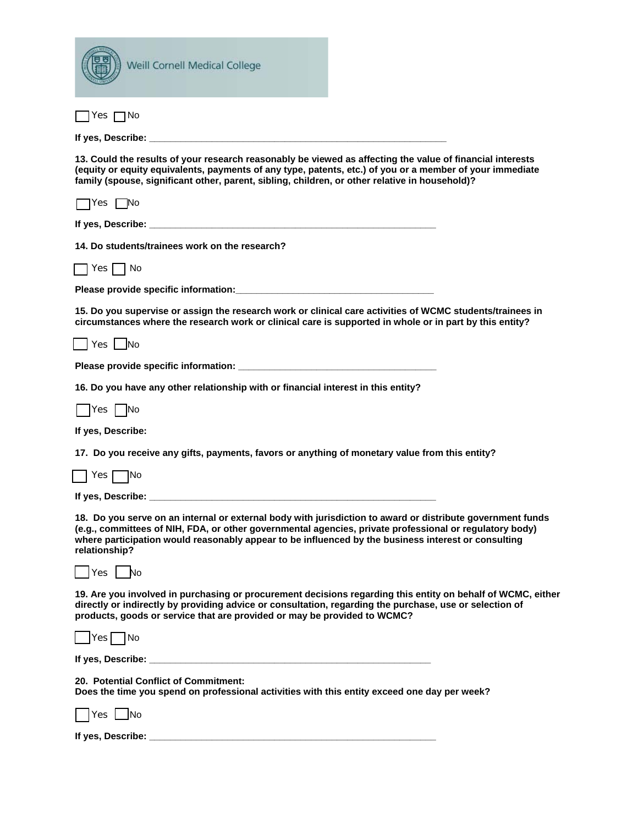| Weill Cornell Medical College                                                                                                                                                                                                                                                                                                                 |
|-----------------------------------------------------------------------------------------------------------------------------------------------------------------------------------------------------------------------------------------------------------------------------------------------------------------------------------------------|
| Yes ∏No                                                                                                                                                                                                                                                                                                                                       |
|                                                                                                                                                                                                                                                                                                                                               |
| 13. Could the results of your research reasonably be viewed as affecting the value of financial interests<br>(equity or equity equivalents, payments of any type, patents, etc.) of you or a member of your immediate<br>family (spouse, significant other, parent, sibling, children, or other relative in household)?                       |
| $\bigcap$ Yes $\bigcap$ No                                                                                                                                                                                                                                                                                                                    |
|                                                                                                                                                                                                                                                                                                                                               |
| 14. Do students/trainees work on the research?                                                                                                                                                                                                                                                                                                |
| Yes      No                                                                                                                                                                                                                                                                                                                                   |
|                                                                                                                                                                                                                                                                                                                                               |
| 15. Do you supervise or assign the research work or clinical care activities of WCMC students/trainees in<br>circumstances where the research work or clinical care is supported in whole or in part by this entity?                                                                                                                          |
| Yes   No                                                                                                                                                                                                                                                                                                                                      |
|                                                                                                                                                                                                                                                                                                                                               |
| 16. Do you have any other relationship with or financial interest in this entity?                                                                                                                                                                                                                                                             |
| Yes   No                                                                                                                                                                                                                                                                                                                                      |
| If yes, Describe:                                                                                                                                                                                                                                                                                                                             |
| 17. Do you receive any gifts, payments, favors or anything of monetary value from this entity?                                                                                                                                                                                                                                                |
| Yes  <br>INo                                                                                                                                                                                                                                                                                                                                  |
| If yes, Describe:                                                                                                                                                                                                                                                                                                                             |
| 18. Do you serve on an internal or external body with jurisdiction to award or distribute government funds<br>(e.g., committees of NIH, FDA, or other governmental agencies, private professional or regulatory body)<br>where participation would reasonably appear to be influenced by the business interest or consulting<br>relationship? |
| Yes   No                                                                                                                                                                                                                                                                                                                                      |
| 19. Are you involved in purchasing or procurement decisions regarding this entity on behalf of WCMC, either<br>directly or indirectly by providing advice or consultation, regarding the purchase, use or selection of<br>products, goods or service that are provided or may be provided to WCMC?                                            |
| $Yes$ No                                                                                                                                                                                                                                                                                                                                      |
|                                                                                                                                                                                                                                                                                                                                               |
| 20. Potential Conflict of Commitment:<br>Does the time you spend on professional activities with this entity exceed one day per week?                                                                                                                                                                                                         |
| Yes   No                                                                                                                                                                                                                                                                                                                                      |
|                                                                                                                                                                                                                                                                                                                                               |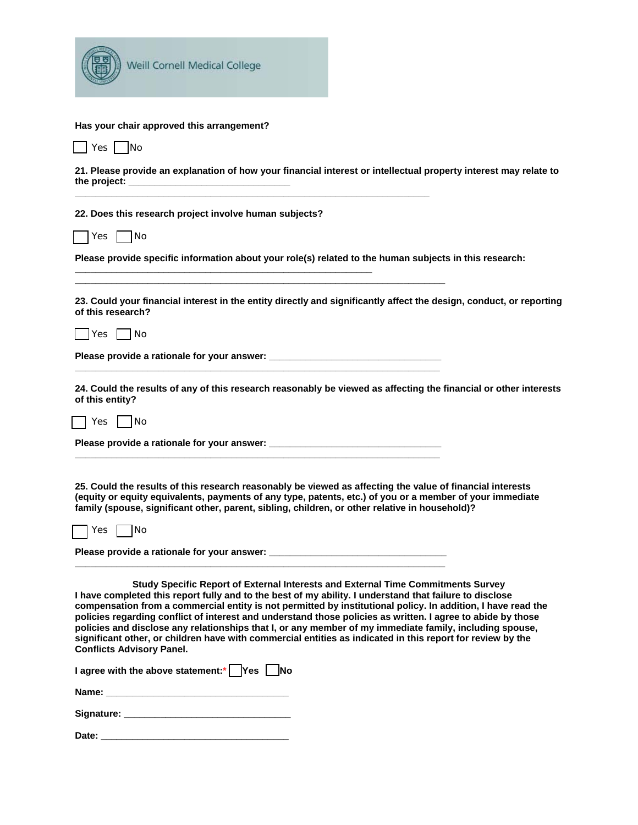

## **Has your chair approved this arrangement?**

| ່≏⊂ | IN∩ |
|-----|-----|

**21. Please provide an explanation of how your financial interest or intellectual property interest may relate to**  the project:

**22. Does this research project involve human subjects?** 

**\_\_\_\_\_\_\_\_\_\_\_\_\_\_\_\_\_\_\_\_\_\_\_\_\_\_\_\_\_\_\_\_\_\_\_\_\_\_\_\_\_\_\_\_\_\_\_\_\_\_\_\_\_\_\_\_\_** 

**\_\_\_\_\_\_\_\_\_\_\_\_\_\_\_\_\_\_\_\_\_\_\_\_\_\_\_\_\_\_\_\_\_\_\_\_\_\_\_\_\_\_\_\_\_\_\_\_\_\_\_\_\_\_\_\_\_\_\_\_\_\_\_\_\_\_\_\_** 

**\_\_\_\_\_\_\_\_\_\_\_\_\_\_\_\_\_\_\_\_\_\_\_\_\_\_\_\_\_\_\_\_\_\_\_\_\_\_\_\_\_\_\_\_\_\_\_\_\_\_\_\_\_\_\_\_\_\_\_\_\_\_\_\_\_\_\_\_\_\_\_** 

**\_\_\_\_\_\_\_\_\_\_\_\_\_\_\_\_\_\_\_\_\_\_\_\_\_\_\_\_\_\_\_\_\_\_\_\_\_\_\_\_\_\_\_\_\_\_\_\_\_\_\_\_\_\_\_\_\_\_\_\_\_\_\_\_\_\_\_\_\_\_** 

**\_\_\_\_\_\_\_\_\_\_\_\_\_\_\_\_\_\_\_\_\_\_\_\_\_\_\_\_\_\_\_\_\_\_\_\_\_\_\_\_\_\_\_\_\_\_\_\_\_\_\_\_\_\_\_\_\_\_\_\_\_\_\_\_\_\_\_\_\_\_** 

**\_\_\_\_\_\_\_\_\_\_\_\_\_\_\_\_\_\_\_\_\_\_\_\_\_\_\_\_\_\_\_\_\_\_\_\_\_\_\_\_\_\_\_\_\_\_\_\_\_\_\_\_\_\_\_\_\_\_\_\_\_\_\_\_\_\_\_\_\_\_\_** 

 $Yes \Box No$ 

**Please provide specific information about your role(s) related to the human subjects in this research:** 

**23. Could your financial interest in the entity directly and significantly affect the design, conduct, or reporting of this research?** 

 $\sqsupset$ Yes  $\sqcap$ No

**Please provide a rationale for your answer: \_\_\_\_\_\_\_\_\_\_\_\_\_\_\_\_\_\_\_\_\_\_\_\_\_\_\_\_\_\_\_\_\_** 

**24. Could the results of any of this research reasonably be viewed as affecting the financial or other interests of this entity?** 

 $\sqsupset$  Yes  $\sqcap$  No

Please provide a rationale for your answer:

**25. Could the results of this research reasonably be viewed as affecting the value of financial interests (equity or equity equivalents, payments of any type, patents, etc.) of you or a member of your immediate family (spouse, significant other, parent, sibling, children, or other relative in household)?** 

Yes | No

Please provide a rationale for your answer:

**Study Specific Report of External Interests and External Time Commitments Survey I have completed this report fully and to the best of my ability. I understand that failure to disclose compensation from a commercial entity is not permitted by institutional policy. In addition, I have read the policies regarding conflict of interest and understand those policies as written. I agree to abide by those policies and disclose any relationships that I, or any member of my immediate family, including spouse, significant other, or children have with commercial entities as indicated in this report for review by the Conflicts Advisory Panel.** 

| I agree with the above statement:*   Yes [ |  |  |  | $\neg$ No |
|--------------------------------------------|--|--|--|-----------|
|--------------------------------------------|--|--|--|-----------|

**Name:**  $\blacksquare$ 

| Signature: |
|------------|
|------------|

**Date: \_\_\_\_\_\_\_\_\_\_\_\_\_\_\_\_\_\_\_\_\_\_\_\_\_\_\_\_\_\_\_\_\_\_\_\_**